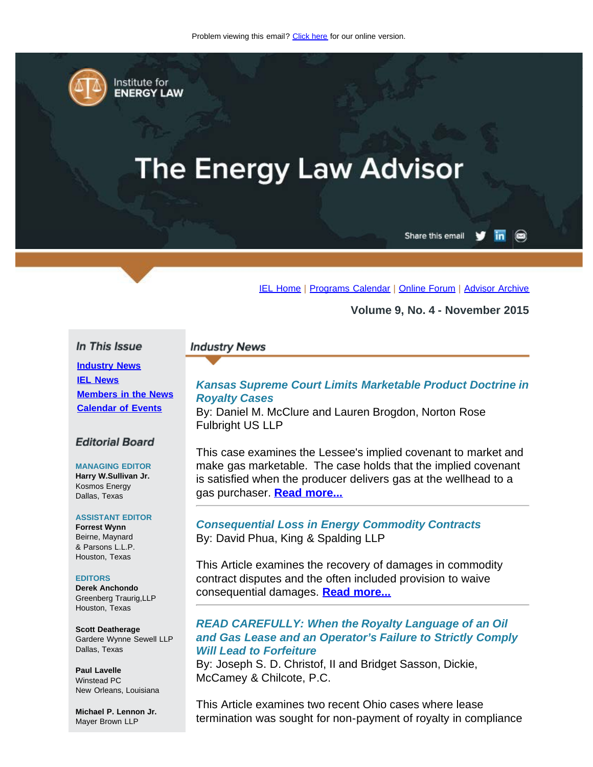<span id="page-0-0"></span>

Institute for **ENERGY LAW** 

# **The Energy Law Advisor**

Share this email

[IEL Home](http://www.cailaw.org/institute-for-energy-law/index.html?utm_source=Informz&utm_medium=Email&utm_campaign=Event+Details) | [Programs Calendar](http://www.cailaw.org/institute-for-energy-law/programs-calendar.html?utm_source=Informz&utm_medium=Email&utm_campaign=Event+Details) | [Online Forum](https://www.linkedin.com/groups?gid=2330688&trk=myg_ugrp_ovr) | [Advisor Archive](http://www.cailaw.org/institute-for-energy-law/publications/energy-law-advisor.html?utm_source=Informz&utm_medium=Email&utm_campaign=Event+Details)

**Volume 9, No. 4 - November 2015**

## In This Issue

**[Industry News](#page-0-0) [IEL News](#page-0-0) [Members in the News](#page-0-0) [Calendar of Events](#page-0-0)**

## **Editorial Board**

#### **MANAGING EDITOR Harry W.Sullivan Jr.** Kosmos Energy Dallas, Texas

## **ASSISTANT EDITOR**

**Forrest Wynn** Beirne, Maynard & Parsons L.L.P. Houston, Texas

## **EDITORS**

**Derek Anchondo** Greenberg Traurig,LLP Houston, Texas

**Scott Deatherage** Gardere Wynne Sewell LLP Dallas, Texas

**Paul Lavelle** Winstead PC New Orleans, Louisiana

**Michael P. Lennon Jr.** Mayer Brown LLP

## **Industry News**

# *Kansas Supreme Court Limits Marketable Product Doctrine in Royalty Cases*

By: Daniel M. McClure and Lauren Brogdon, Norton Rose Fulbright US LLP

This case examines the Lessee's implied covenant to market and make gas marketable. The case holds that the implied covenant is satisfied when the producer delivers gas at the wellhead to a gas purchaser. **[Read more...](http://www.cailaw.org/media/files/IEL/Publications/2015/kansas-supreme-court-vol9no4.pdf)**

# *Consequential Loss in Energy Commodity Contracts* By: David Phua, King & Spalding LLP

This Article examines the recovery of damages in commodity contract disputes and the often included provision to waive consequential damages. **[Read more...](http://www.cailaw.org/media/files/IEL/Publications/2015/energy-commodity-contracts-vol9no4.pdf)**

# *READ CAREFULLY: When the Royalty Language of an Oil and Gas Lease and an Operator's Failure to Strictly Comply Will Lead to Forfeiture*

By: Joseph S. D. Christof, II and Bridget Sasson, Dickie, McCamey & Chilcote, P.C.

This Article examines two recent Ohio cases where lease termination was sought for non-payment of royalty in compliance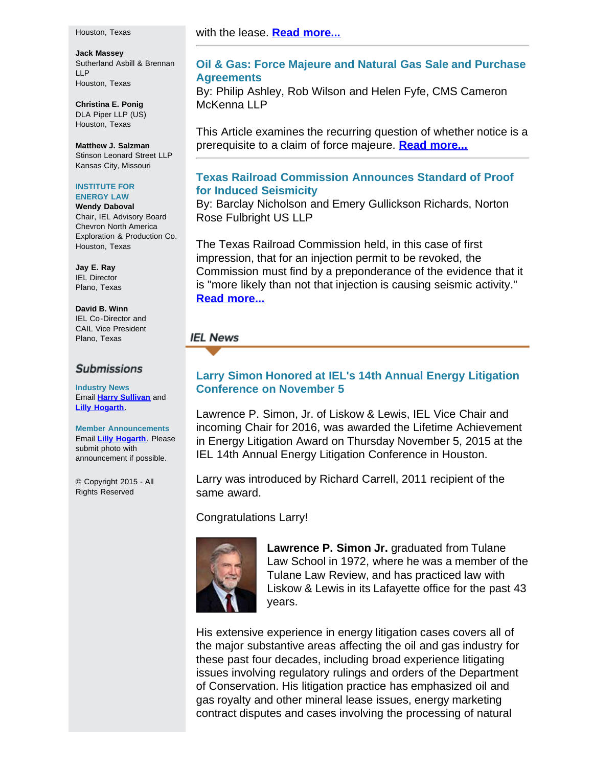#### Houston, Texas

**Jack Massey** Sutherland Asbill & Brennan LLP Houston, Texas

**Christina E. Ponig** DLA Piper LLP (US) Houston, Texas

**Matthew J. Salzman** Stinson Leonard Street LLP Kansas City, Missouri

#### **INSTITUTE FOR ENERGY LAW**

**Wendy Daboval** Chair, IEL Advisory Board Chevron North America Exploration & Production Co. Houston, Texas

**Jay E. Ray** IEL Director Plano, Texas

**David B. Winn** IEL Co-Director and CAIL Vice President Plano, Texas

## **Submissions**

**Industry News** Email **[Harry Sullivan](mailto:sullivanhw@aol.com)** and **[Lilly Hogarth](mailto:lhogarth@cailaw.org)**.

**Member Announcements** Email **[Lilly Hogarth](mailto:lhogarth@cailaw.org)**. Please submit photo with announcement if possible.

© Copyright 2015 - All Rights Reserved

# with the lease. **[Read more...](http://www.cailaw.org/media/files/IEL/Publications/2015/read-carefully-vol9no4.pdf)**

# **Oil & Gas: Force Majeure and Natural Gas Sale and Purchase Agreements**

By: Philip Ashley, Rob Wilson and Helen Fyfe, CMS Cameron McKenna LLP

This Article examines the recurring question of whether notice is a prerequisite to a claim of force majeure. **[Read more...](http://www.cailaw.org/media/files/IEL/Publications/2015/oil-gas-force-majeure-vol9no4.pdf)**

# **Texas Railroad Commission Announces Standard of Proof for Induced Seismicity**

By: Barclay Nicholson and Emery Gullickson Richards, Norton Rose Fulbright US LLP

The Texas Railroad Commission held, in this case of first impression, that for an injection permit to be revoked, the Commission must find by a preponderance of the evidence that it is "more likely than not that injection is causing seismic activity." **[Read more...](http://www.cailaw.org/media/files/IEL/Publications/2015/texas-rrc-vol9no4.pdf)**

# **IEL News**

# **Larry Simon Honored at IEL's 14th Annual Energy Litigation Conference on November 5**

Lawrence P. Simon, Jr. of Liskow & Lewis, IEL Vice Chair and incoming Chair for 2016, was awarded the Lifetime Achievement in Energy Litigation Award on Thursday November 5, 2015 at the IEL 14th Annual Energy Litigation Conference in Houston.

Larry was introduced by Richard Carrell, 2011 recipient of the same award.

Congratulations Larry!



**Lawrence P. Simon Jr.** graduated from Tulane Law School in 1972, where he was a member of the Tulane Law Review, and has practiced law with Liskow & Lewis in its Lafayette office for the past 43 years.

His extensive experience in energy litigation cases covers all of the major substantive areas affecting the oil and gas industry for these past four decades, including broad experience litigating issues involving regulatory rulings and orders of the Department of Conservation. His litigation practice has emphasized oil and gas royalty and other mineral lease issues, energy marketing contract disputes and cases involving the processing of natural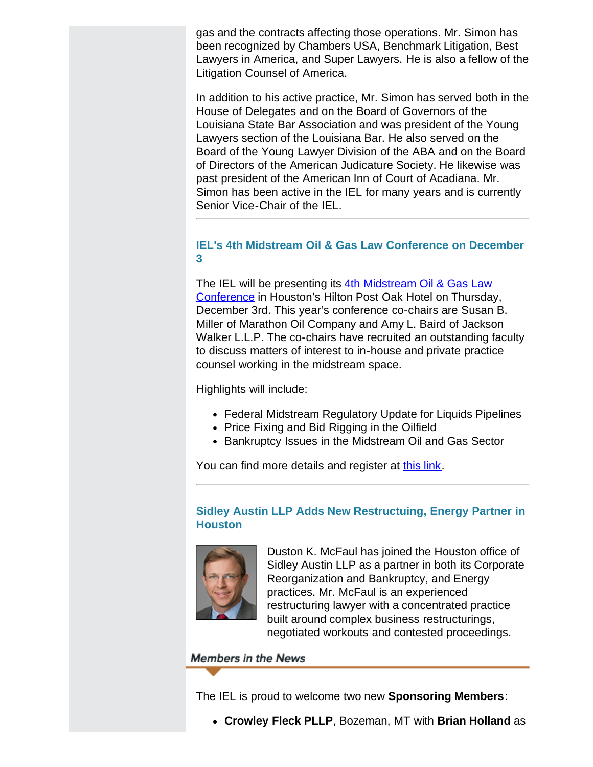gas and the contracts affecting those operations. Mr. Simon has been recognized by Chambers USA, Benchmark Litigation, Best Lawyers in America, and Super Lawyers. He is also a fellow of the Litigation Counsel of America.

In addition to his active practice, Mr. Simon has served both in the House of Delegates and on the Board of Governors of the Louisiana State Bar Association and was president of the Young Lawyers section of the Louisiana Bar. He also served on the Board of the Young Lawyer Division of the ABA and on the Board of Directors of the American Judicature Society. He likewise was past president of the American Inn of Court of Acadiana. Mr. Simon has been active in the IEL for many years and is currently Senior Vice-Chair of the IEL.

# **IEL's 4th Midstream Oil & Gas Law Conference on December 3**

The IEL will be presenting its [4th Midstream Oil & Gas Law](http://www.cailaw.org/institute-for-energy-law/events/2015/midstream-oil-gas-law.html?utm_source=Informz&utm_medium=Email&utm_campaign=Event+Details) [Conference](http://www.cailaw.org/institute-for-energy-law/events/2015/midstream-oil-gas-law.html?utm_source=Informz&utm_medium=Email&utm_campaign=Event+Details) in Houston's Hilton Post Oak Hotel on Thursday, December 3rd. This year's conference co-chairs are Susan B. Miller of Marathon Oil Company and Amy L. Baird of Jackson Walker L.L.P. The co-chairs have recruited an outstanding faculty to discuss matters of interest to in-house and private practice counsel working in the midstream space.

Highlights will include:

- Federal Midstream Regulatory Update for Liquids Pipelines
- Price Fixing and Bid Rigging in the Oilfield
- Bankruptcy Issues in the Midstream Oil and Gas Sector

You can find more details and register at [this link](http://www.cailaw.org/institute-for-energy-law/events/2015/midstream-oil-gas-law.html?utm_source=Informz&utm_medium=Email&utm_campaign=Event+Details).

# **Sidley Austin LLP Adds New Restructuing, Energy Partner in Houston**



Duston K. McFaul has joined the Houston office of Sidley Austin LLP as a partner in both its Corporate Reorganization and Bankruptcy, and Energy practices. Mr. McFaul is an experienced restructuring lawyer with a concentrated practice built around complex business restructurings, negotiated workouts and contested proceedings.

# **Members in the News**

The IEL is proud to welcome two new **Sponsoring Members**:

**Crowley Fleck PLLP**, Bozeman, MT with **Brian Holland** as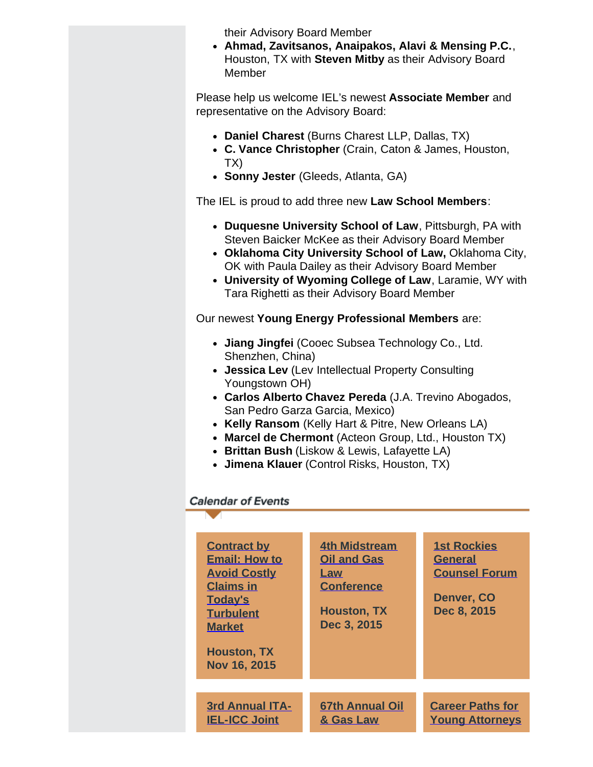their Advisory Board Member

**Ahmad, Zavitsanos, Anaipakos, Alavi & Mensing P.C.**, Houston, TX with **Steven Mitby** as their Advisory Board Member

Please help us welcome IEL's newest **Associate Member** and representative on the Advisory Board:

- **Daniel Charest** (Burns Charest LLP, Dallas, TX)
- **C. Vance Christopher** (Crain, Caton & James, Houston, TX)
- **Sonny Jester** (Gleeds, Atlanta, GA)

The IEL is proud to add three new **Law School Members**:

- **Duquesne University School of Law**, Pittsburgh, PA with Steven Baicker McKee as their Advisory Board Member
- **Oklahoma City University School of Law,** Oklahoma City, OK with Paula Dailey as their Advisory Board Member
- **University of Wyoming College of Law**, Laramie, WY with Tara Righetti as their Advisory Board Member

Our newest **Young Energy Professional Members** are:

- **Jiang Jingfei** (Cooec Subsea Technology Co., Ltd. Shenzhen, China)
- **Jessica Lev** (Lev Intellectual Property Consulting Youngstown OH)
- **Carlos Alberto Chavez Pereda** (J.A. Trevino Abogados, San Pedro Garza Garcia, Mexico)
- **Kelly Ransom** (Kelly Hart & Pitre, New Orleans LA)
- **Marcel de Chermont** (Acteon Group, Ltd., Houston TX)
- **Brittan Bush** (Liskow & Lewis, Lafayette LA)
- **Jimena Klauer** (Control Risks, Houston, TX)

# **Calendar of Events**

| <b>Contract by</b><br><b>Email: How to</b><br><b>Avoid Costly</b><br><b>Claims in</b><br><b>Today's</b><br><b>Turbulent</b><br><b>Market</b><br><b>Houston, TX</b><br>Nov 16, 2015 | <b>4th Midstream</b><br><b>Oil and Gas</b><br>Law<br><b>Conference</b><br><b>Houston, TX</b><br>Dec 3, 2015 | <b>1st Rockies</b><br><b>General</b><br><b>Counsel Forum</b><br>Denver, CO<br>Dec 8, 2015 |
|------------------------------------------------------------------------------------------------------------------------------------------------------------------------------------|-------------------------------------------------------------------------------------------------------------|-------------------------------------------------------------------------------------------|
| <b>3rd Annual ITA-</b><br><b>IEL-ICC Joint</b>                                                                                                                                     | <b>67th Annual Oil</b><br>& Gas Law                                                                         | <b>Career Paths for</b><br><b>Young Attorneys</b>                                         |